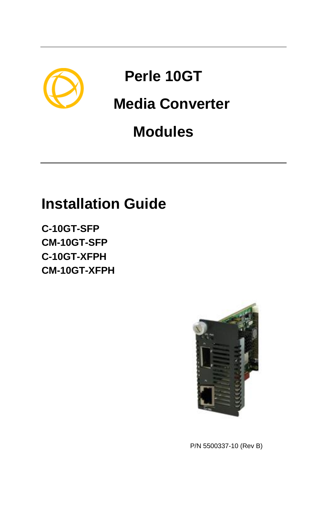

# **Perle 10GT**

# **Media Converter**

# **Modules**

# **Installation Guide**

**C-10GT-SFP CM-10GT-SFP C-10GT-XFPH CM-10GT-XFPH**



P/N 5500337-10 (Rev B)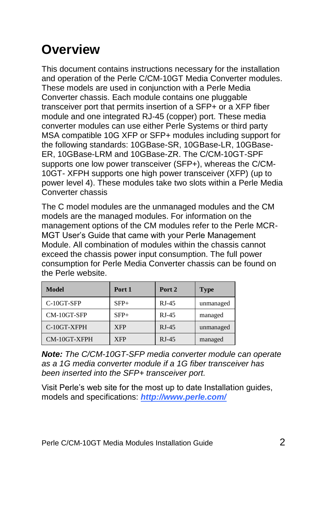## **Overview**

This document contains instructions necessary for the installation and operation of the Perle C/CM-10GT Media Converter modules. These models are used in conjunction with a Perle Media Converter chassis. Each module contains one pluggable transceiver port that permits insertion of a SFP+ or a XFP fiber module and one integrated RJ-45 (copper) port. These media converter modules can use either Perle Systems or third party MSA compatible 10G XFP or SFP+ modules including support for the following standards: 10GBase-SR, 10GBase-LR, 10GBase-ER, 10GBase-LRM and 10GBase-ZR. The C/CM-10GT-SPF supports one low power transceiver (SFP+), whereas the C/CM-10GT- XFPH supports one high power transceiver (XFP) (up to power level 4). These modules take two slots within a Perle Media Converter chassis

The C model modules are the unmanaged modules and the CM models are the managed modules. For information on the management options of the CM modules refer to the Perle MCR-MGT User's Guide that came with your Perle Management Module. All combination of modules within the chassis cannot exceed the chassis power input consumption. The full power consumption for Perle Media Converter chassis can be found on the Perle website.

| <b>Model</b> | Port 1     | Port 2  | <b>Type</b> |
|--------------|------------|---------|-------------|
| C-10GT-SFP   | $SFP+$     | $RJ-45$ | unmanaged   |
| CM-10GT-SFP  | $SFP+$     | $RJ-45$ | managed     |
| C-10GT-XFPH  | <b>XFP</b> | $RJ-45$ | unmanaged   |
| CM-10GT-XFPH | <b>XFP</b> | $RJ-45$ | managed     |

*Note: The C/CM-10GT-SFP media converter module can operate as a 1G media converter module if a 1G fiber transceiver has been inserted into the SFP+ transceiver port.*

Visit Perle's web site for the most up to date Installation guides, models and specifications: *<http://www.perle.com/>*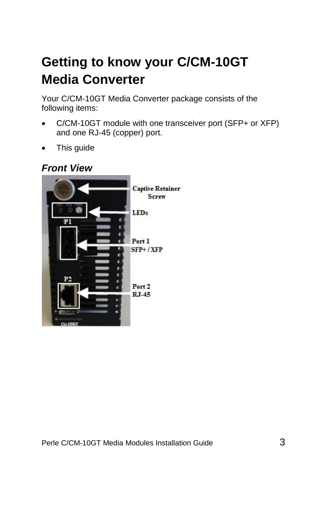# **Getting to know your C/CM-10GT Media Converter**

Your C/CM-10GT Media Converter package consists of the following items:

- C/CM-10GT module with one transceiver port (SFP+ or XFP) and one RJ-45 (copper) port.
- This guide

#### *Front View*

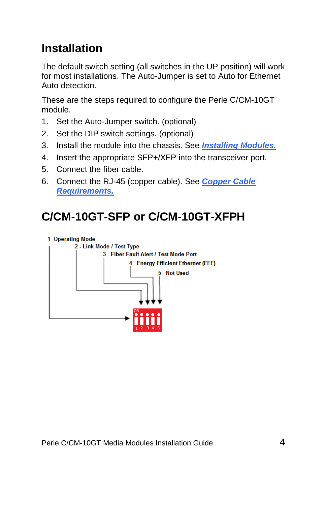## **Installation**

The default switch setting (all switches in the UP position) will work for most installations. The Auto-Jumper is set to Auto for Ethernet Auto detection.

These are the steps required to configure the Perle C/CM-10GT module.

- 1. Set the Auto-Jumper switch. (optional)
- 2. Set the DIP switch settings. (optional)
- 3. Install the module into the chassis. See *[Installing Modules.](#page-8-0)*
- 4. Insert the appropriate SFP+/XFP into the transceiver port.
- 5. Connect the fiber cable.
- 6. Connect the RJ-45 (copper cable). See *[Copper Cable](#page-14-0)  [Requirements.](#page-14-0)*

## **C/CM-10GT-SFP or C/CM-10GT-XFPH**

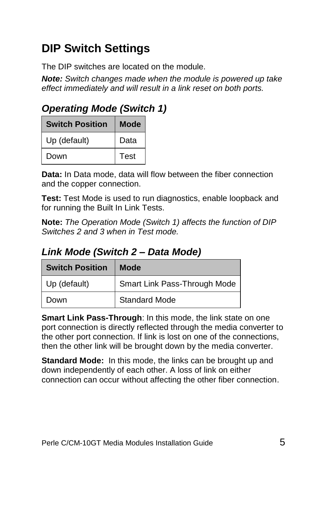## **DIP Switch Settings**

The DIP switches are located on the module.

*Note: Switch changes made when the module is powered up take effect immediately and will result in a link reset on both ports.*

*Operating Mode (Switch 1)*

| <b>Switch Position</b> | Mode |
|------------------------|------|
| Up (default)           | Data |
| Down                   | Test |

**Data:** In Data mode, data will flow between the fiber connection and the copper connection.

**Test:** Test Mode is used to run diagnostics, enable loopback and for running the Built In Link Tests.

**Note:** *The Operation Mode (Switch 1) affects the function of DIP Switches 2 and 3 when in Test mode.*

### *Link Mode (Switch 2 – Data Mode)*

| <b>Switch Position</b> | Mode                         |
|------------------------|------------------------------|
| Up (default)           | Smart Link Pass-Through Mode |
| Down                   | Standard Mode                |

**Smart Link Pass-Through:** In this mode, the link state on one port connection is directly reflected through the media converter to the other port connection. If link is lost on one of the connections, then the other link will be brought down by the media converter.

**Standard Mode:** In this mode, the links can be brought up and down independently of each other. A loss of link on either connection can occur without affecting the other fiber connection.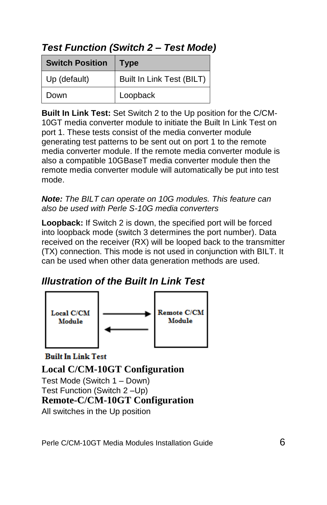### *Test Function (Switch 2 – Test Mode)*

| <b>Switch Position</b> | <b>Type</b>               |
|------------------------|---------------------------|
| Up (default)           | Built In Link Test (BILT) |
| Down                   | Loopback                  |

**Built In Link Test:** Set Switch 2 to the Up position for the C/CM-10GT media converter module to initiate the Built In Link Test on port 1. These tests consist of the media converter module generating test patterns to be sent out on port 1 to the remote media converter module. If the remote media converter module is also a compatible 10GBaseT media converter module then the remote media converter module will automatically be put into test mode.

*Note: The BILT can operate on 10G modules. This feature can also be used with Perle S-10G media converters*

**Loopback:** If Switch 2 is down, the specified port will be forced into loopback mode (switch 3 determines the port number). Data received on the receiver (RX) will be looped back to the transmitter (TX) connection. This mode is not used in conjunction with BILT. It can be used when other data generation methods are used.

### *Illustration of the Built In Link Test*



**Built In Link Test** 

**Local C/CM-10GT Configuration** Test Mode (Switch 1 – Down) Test Function (Switch 2 –Up) **Remote-C/CM-10GT Configuration** All switches in the Up position

Perle C/CM-10GT Media Modules Installation Guide 6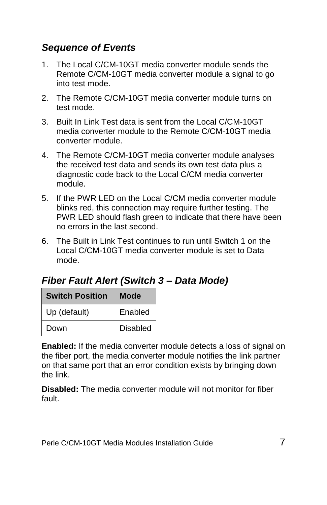#### *Sequence of Events*

- 1. The Local C/CM-10GT media converter module sends the Remote C/CM-10GT media converter module a signal to go into test mode.
- 2. The Remote C/CM-10GT media converter module turns on test mode.
- 3. Built In Link Test data is sent from the Local C/CM-10GT media converter module to the Remote C/CM-10GT media converter module.
- 4. The Remote C/CM-10GT media converter module analyses the received test data and sends its own test data plus a diagnostic code back to the Local C/CM media converter module.
- 5. If the PWR LED on the Local C/CM media converter module blinks red, this connection may require further testing. The PWR LED should flash green to indicate that there have been no errors in the last second.
- 6. The Built in Link Test continues to run until Switch 1 on the Local C/CM-10GT media converter module is set to Data mode.

### *Fiber Fault Alert (Switch 3 – Data Mode)*

| <b>Switch Position</b> | Mode            |
|------------------------|-----------------|
| Up (default)           | Enabled         |
| Down                   | <b>Disabled</b> |

**Enabled:** If the media converter module detects a loss of signal on the fiber port, the media converter module notifies the link partner on that same port that an error condition exists by bringing down the link.

**Disabled:** The media converter module will not monitor for fiber fault.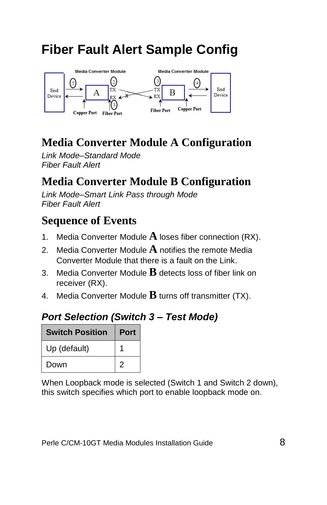## **Fiber Fault Alert Sample Config**



## **Media Converter Module A Configuration**

*Link Mode–Standard Mode Fiber Fault Alert*

## **Media Converter Module B Configuration**

*Link Mode–Smart Link Pass through Mode Fiber Fault Alert*

## **Sequence of Events**

- 1. Media Converter Module **A** loses fiber connection (RX).
- 2. Media Converter Module **A** notifies the remote Media Converter Module that there is a fault on the Link.
- 3. Media Converter Module **B** detects loss of fiber link on receiver (RX).
- 4. Media Converter Module **B** turns off transmitter (TX).

#### *Port Selection (Switch 3 – Test Mode)*

| <b>Switch Position</b> | <b>Port</b> |
|------------------------|-------------|
| Up (default)           |             |
| Down                   | 2           |

When Loopback mode is selected (Switch 1 and Switch 2 down), this switch specifies which port to enable loopback mode on.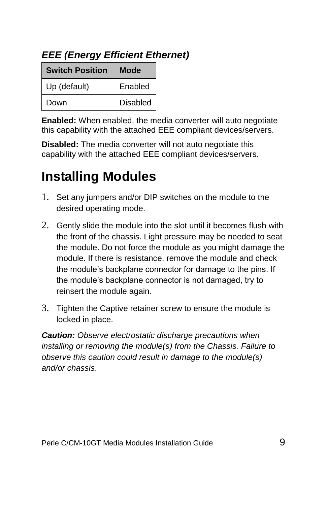| <b>Switch Position</b> | Mode            |
|------------------------|-----------------|
| Up (default)           | Enabled         |
| Down                   | <b>Disabled</b> |

**Enabled:** When enabled, the media converter will auto negotiate this capability with the attached EEE compliant devices/servers.

**Disabled:** The media converter will not auto negotiate this capability with the attached EEE compliant devices/servers.

## <span id="page-8-0"></span>**Installing Modules**

- 1. Set any jumpers and/or DIP switches on the module to the desired operating mode.
- 2. Gently slide the module into the slot until it becomes flush with the front of the chassis. Light pressure may be needed to seat the module. Do not force the module as you might damage the module. If there is resistance, remove the module and check the module's backplane connector for damage to the pins. If the module's backplane connector is not damaged, try to reinsert the module again.
- 3. Tighten the Captive retainer screw to ensure the module is locked in place.

*Caution: Observe electrostatic discharge precautions when installing or removing the module(s) from the Chassis. Failure to observe this caution could result in damage to the module(s) and/or chassis*.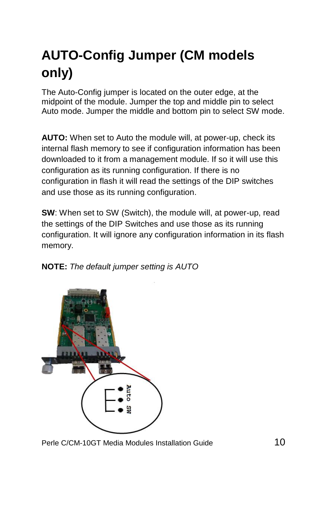# **AUTO-Config Jumper (CM models only)**

The Auto-Config jumper is located on the outer edge, at the midpoint of the module. Jumper the top and middle pin to select Auto mode. Jumper the middle and bottom pin to select SW mode.

**AUTO:** When set to Auto the module will, at power-up, check its internal flash memory to see if configuration information has been downloaded to it from a management module. If so it will use this configuration as its running configuration. If there is no configuration in flash it will read the settings of the DIP switches and use those as its running configuration.

**SW**: When set to SW (Switch), the module will, at power-up, read the settings of the DIP Switches and use those as its running configuration. It will ignore any configuration information in its flash memory.





Perle C/CM-10GT Media Modules Installation Guide 10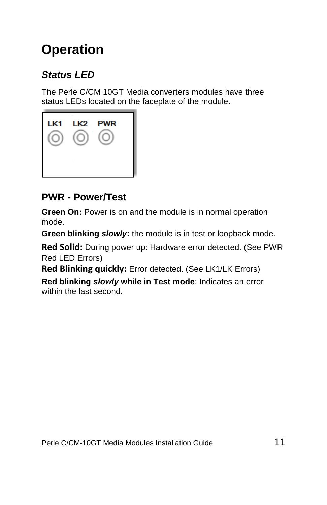## **Operation**

### *Status LED*

The Perle C/CM 10GT Media converters modules have three status LEDs located on the faceplate of the module.



### **PWR - Power/Test**

**Green On:** Power is on and the module is in normal operation mode.

**Green blinking** *slowly***:** the module is in test or loopback mode.

**Red Solid:** During power up: Hardware error detected. (See PWR Red LED Errors)

**Red Blinking quickly:** Error detected. (See LK1/LK Errors)

**Red blinking** *slowly* **while in Test mode**: Indicates an error within the last second.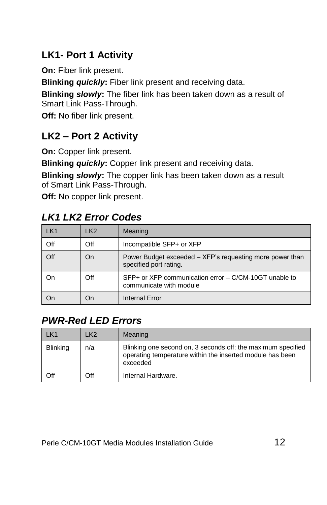## **LK1- Port 1 Activity**

**On:** Fiber link present.

**Blinking** *quickly***:** Fiber link present and receiving data.

**Blinking** *slowly***:** The fiber link has been taken down as a result of Smart Link Pass-Through.

**Off:** No fiber link present.

### **LK2 – Port 2 Activity**

**On:** Copper link present.

**Blinking** *quickly***:** Copper link present and receiving data.

**Blinking** *slowly***:** The copper link has been taken down as a result of Smart Link Pass-Through.

**Off:** No copper link present.

### *LK1 LK2 Error Codes*

| LK1 | LK <sub>2</sub> | Meaning                                                                            |
|-----|-----------------|------------------------------------------------------------------------------------|
| Off | Off             | Incompatible SFP+ or XFP                                                           |
| Off | On              | Power Budget exceeded – XFP's requesting more power than<br>specified port rating. |
| On  | Off             | SFP+ or XFP communication error – C/CM-10GT unable to<br>communicate with module   |
|     | On              | <b>Internal Error</b>                                                              |

### *PWR-Red LED Errors*

| I K1            | LK <sub>2</sub> | Meaning                                                                                                                               |
|-----------------|-----------------|---------------------------------------------------------------------------------------------------------------------------------------|
| <b>Blinking</b> | n/a             | Blinking one second on, 3 seconds off: the maximum specified<br>operating temperature within the inserted module has been<br>exceeded |
| Off             | Off             | Internal Hardware.                                                                                                                    |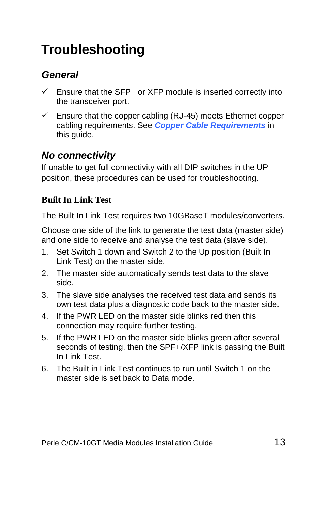## **Troubleshooting**

### *General*

- Ensure that the SFP+ or XFP module is inserted correctly into the transceiver port.
- $\checkmark$  Ensure that the copper cabling (RJ-45) meets Ethernet copper cabling requirements. See *[Copper Cable Requirements](#page-14-0)* in this guide.

### *No connectivity*

If unable to get full connectivity with all DIP switches in the UP position, these procedures can be used for troubleshooting.

#### **Built In Link Test**

The Built In Link Test requires two 10GBaseT modules/converters.

Choose one side of the link to generate the test data (master side) and one side to receive and analyse the test data (slave side).

- 1. Set Switch 1 down and Switch 2 to the Up position (Built In Link Test) on the master side.
- 2. The master side automatically sends test data to the slave side.
- 3. The slave side analyses the received test data and sends its own test data plus a diagnostic code back to the master side.
- 4. If the PWR LED on the master side blinks red then this connection may require further testing.
- 5. If the PWR LED on the master side blinks green after several seconds of testing, then the SPF+/XFP link is passing the Built In Link Test.
- 6. The Built in Link Test continues to run until Switch 1 on the master side is set back to Data mode.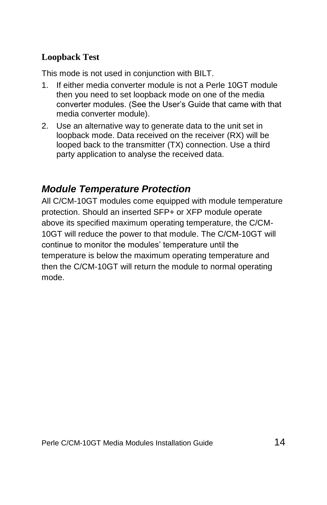#### **Loopback Test**

This mode is not used in conjunction with BILT.

- 1. If either media converter module is not a Perle 10GT module then you need to set loopback mode on one of the media converter modules. (See the User's Guide that came with that media converter module).
- 2. Use an alternative way to generate data to the unit set in loopback mode. Data received on the receiver (RX) will be looped back to the transmitter (TX) connection. Use a third party application to analyse the received data.

### *Module Temperature Protection*

All C/CM-10GT modules come equipped with module temperature protection. Should an inserted SFP+ or XFP module operate above its specified maximum operating temperature, the C/CM-10GT will reduce the power to that module. The C/CM-10GT will continue to monitor the modules' temperature until the temperature is below the maximum operating temperature and then the C/CM-10GT will return the module to normal operating mode.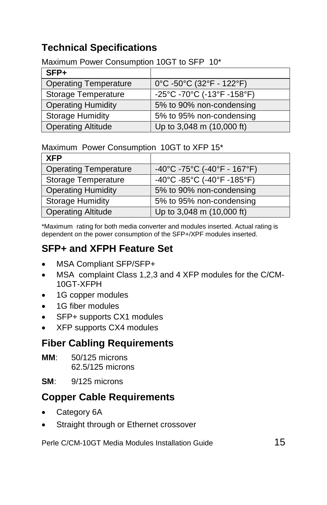## **Technical Specifications**

#### Maximum Power Consumption 10GT to SFP 10\*

| $SFP+$                       |                                                                       |
|------------------------------|-----------------------------------------------------------------------|
| <b>Operating Temperature</b> | 0°C -50°C (32°F - 122°F)                                              |
| Storage Temperature          | $-25^{\circ}$ C -70 $^{\circ}$ C (-13 $^{\circ}$ F -158 $^{\circ}$ F) |
| <b>Operating Humidity</b>    | 5% to 90% non-condensing                                              |
| <b>Storage Humidity</b>      | 5% to 95% non-condensing                                              |
| <b>Operating Altitude</b>    | Up to 3,048 m (10,000 ft)                                             |

#### Maximum Power Consumption 10GT to XFP 15\*

| <b>XFP</b>                   |                             |
|------------------------------|-----------------------------|
| <b>Operating Temperature</b> | -40°C -75°C (-40°F - 167°F) |
| Storage Temperature          | -40°C -85°C (-40°F -185°F)  |
| <b>Operating Humidity</b>    | 5% to 90% non-condensing    |
| <b>Storage Humidity</b>      | 5% to 95% non-condensing    |
| <b>Operating Altitude</b>    | Up to 3,048 m (10,000 ft)   |

\*Maximum rating for both media converter and modules inserted. Actual rating is dependent on the power consumption of the SFP+/XPF modules inserted.

### **SFP+ and XFPH Feature Set**

- MSA Compliant SFP/SFP+
- MSA complaint Class 1,2,3 and 4 XFP modules for the C/CM-10GT-XFPH
- 1G copper modules
- 1G fiber modules
- SFP+ supports CX1 modules
- XFP supports CX4 modules

### **Fiber Cabling Requirements**

- **MM**: 50/125 microns 62.5/125 microns
- **SM**: 9/125 microns

### <span id="page-14-0"></span>**Copper Cable Requirements**

- Category 6A
- Straight through or Ethernet crossover

Perle C/CM-10GT Media Modules Installation Guide 15